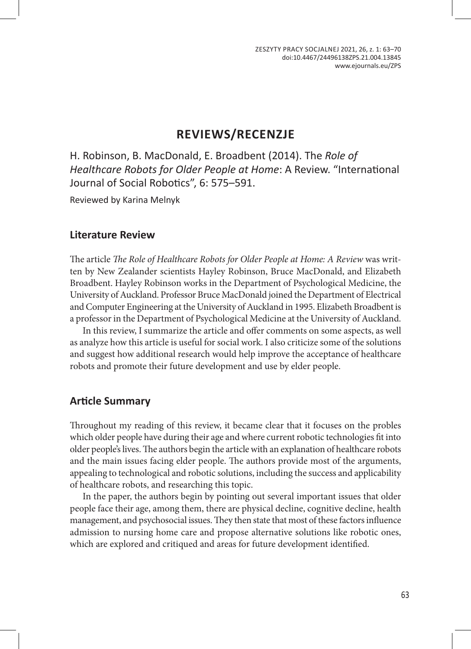# **REVIEWS/RECENZJE**

H. Robinson, B. MacDonald, E. Broadbent (2014). The *Role of Healthcare Robots for Older People at Home*: A Review. "International Journal of Social Robotics", 6: 575–591.

Reviewed by Karina Melnyk

### **Literature Review**

The article *The Role of Healthcare Robots for Older People at Home: A Review* was written by New Zealander scientists Hayley Robinson, Bruce MacDonald, and Elizabeth Broadbent. Hayley Robinson works in the Department of Psychological Medicine, the University of Auckland. Professor Bruce MacDonald joined the Department of Electrical and Computer Engineering at the University of Auckland in 1995. Elizabeth Broadbent is a professor in the Department of Psychological Medicine at the University of Auckland.

In this review, I summarize the article and offer comments on some aspects, as well as analyze how this article is useful for social work. I also criticize some of the solutions and suggest how additional research would help improve the acceptance of healthcare robots and promote their future development and use by elder people.

## **Article Summary**

Throughout my reading of this review, it became clear that it focuses on the probles which older people have during their age and where current robotic technologies fit into older people's lives. The authors begin the article with an explanation of healthcare robots and the main issues facing elder people. The authors provide most of the arguments, appealing to technological and robotic solutions, including the success and applicability of healthcare robots, and researching this topic.

In the paper, the authors begin by pointing out several important issues that older people face their age, among them, there are physical decline, cognitive decline, health management, and psychosocial issues. They then state that most of these factors influence admission to nursing home care and propose alternative solutions like robotic ones, which are explored and critiqued and areas for future development identified.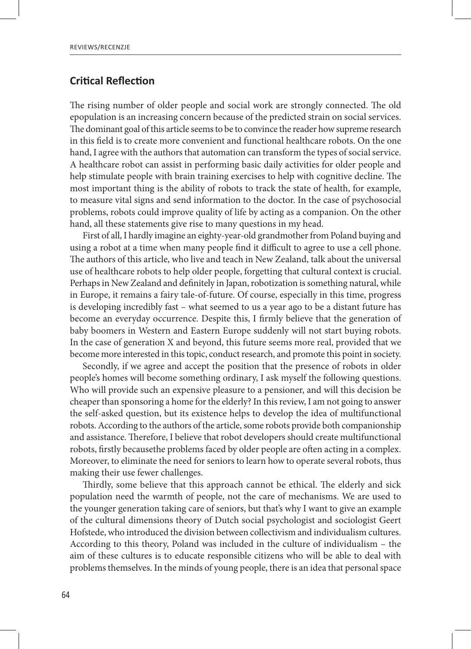### **Critical Reflection**

The rising number of older people and social work are strongly connected. The old epopulation is an increasing concern because of the predicted strain on social services. The dominant goal of this article seems to be to convince the reader how supreme research in this field is to create more convenient and functional healthcare robots. On the one hand, I agree with the authors that automation can transform the types of social service. A healthcare robot can assist in performing basic daily activities for older people and help stimulate people with brain training exercises to help with cognitive decline. The most important thing is the ability of robots to track the state of health, for example, to measure vital signs and send information to the doctor. In the case of psychosocial problems, robots could improve quality of life by acting as a companion. On the other hand, all these statements give rise to many questions in my head.

First of all, I hardly imagine an eighty-year-old grandmother from Poland buying and using a robot at a time when many people find it difficult to agree to use a cell phone. The authors of this article, who live and teach in New Zealand, talk about the universal use of healthcare robots to help older people, forgetting that cultural context is crucial. Perhaps in New Zealand and definitely in Japan, robotization is something natural, while in Europe, it remains a fairy tale-of-future. Of course, especially in this time, progress is developing incredibly fast – what seemed to us a year ago to be a distant future has become an everyday occurrence. Despite this, I firmly believe that the generation of baby boomers in Western and Eastern Europe suddenly will not start buying robots. In the case of generation X and beyond, this future seems more real, provided that we become more interested in this topic, conduct research, and promote this point in society.

Secondly, if we agree and accept the position that the presence of robots in older people's homes will become something ordinary, I ask myself the following questions. Who will provide such an expensive pleasure to a pensioner, and will this decision be cheaper than sponsoring a home for the elderly? In this review, I am not going to answer the self-asked question, but its existence helps to develop the idea of multifunctional robots. According to the authors of the article, some robots provide both companionship and assistance. Therefore, I believe that robot developers should create multifunctional robots, firstly becausethe problems faced by older people are often acting in a complex. Moreover, to eliminate the need for seniors to learn how to operate several robots, thus making their use fewer challenges.

Thirdly, some believe that this approach cannot be ethical. The elderly and sick population need the warmth of people, not the care of mechanisms. We are used to the younger generation taking care of seniors, but that's why I want to give an example of the cultural dimensions theory of Dutch social psychologist and sociologist Geert Hofstede, who introduced the division between collectivism and individualism cultures. According to this theory, Poland was included in the culture of individualism – the aim of these cultures is to educate responsible citizens who will be able to deal with problems themselves. In the minds of young people, there is an idea that personal space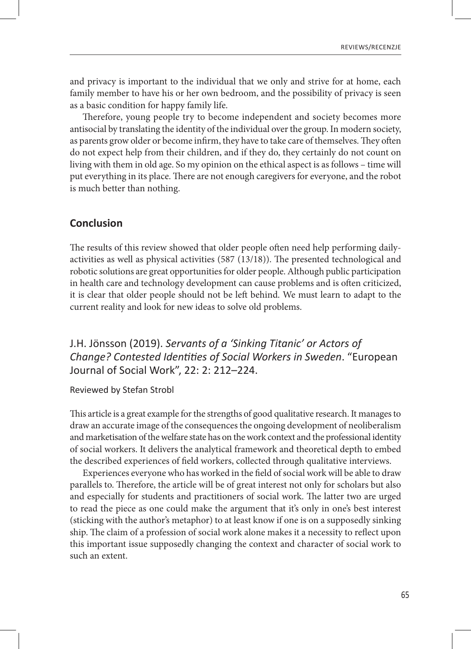and privacy is important to the individual that we only and strive for at home, each family member to have his or her own bedroom, and the possibility of privacy is seen as a basic condition for happy family life.

Therefore, young people try to become independent and society becomes more antisocial by translating the identity of the individual over the group. In modern society, as parents grow older or become infirm, they have to take care of themselves. They often do not expect help from their children, and if they do, they certainly do not count on living with them in old age. So my opinion on the ethical aspect is as follows – time will put everything in its place. There are not enough caregivers for everyone, and the robot is much better than nothing.

#### **Conclusion**

The results of this review showed that older people often need help performing dailyactivities as well as physical activities (587 (13/18)). The presented technological and robotic solutions are great opportunities for older people. Although public participation in health care and technology development can cause problems and is often criticized, it is clear that older people should not be left behind. We must learn to adapt to the current reality and look for new ideas to solve old problems.

J.H. Jönsson (2019). *Servants of a 'Sinking Titanic' or Actors of Change? Contested Identities of Social Workers in Sweden*. "European Journal of Social Work", 22: 2: 212–224.

#### Reviewed by Stefan Strobl

This article is a great example for the strengths of good qualitative research. It manages to draw an accurate image of the consequences the ongoing development of neoliberalism and marketisation of the welfare state has on the work context and the professional identity of social workers. It delivers the analytical framework and theoretical depth to embed the described experiences of field workers, collected through qualitative interviews.

Experiences everyone who has worked in the field of social work will be able to draw parallels to. Therefore, the article will be of great interest not only for scholars but also and especially for students and practitioners of social work. The latter two are urged to read the piece as one could make the argument that it's only in one's best interest (sticking with the author's metaphor) to at least know if one is on a supposedly sinking ship. The claim of a profession of social work alone makes it a necessity to reflect upon this important issue supposedly changing the context and character of social work to such an extent.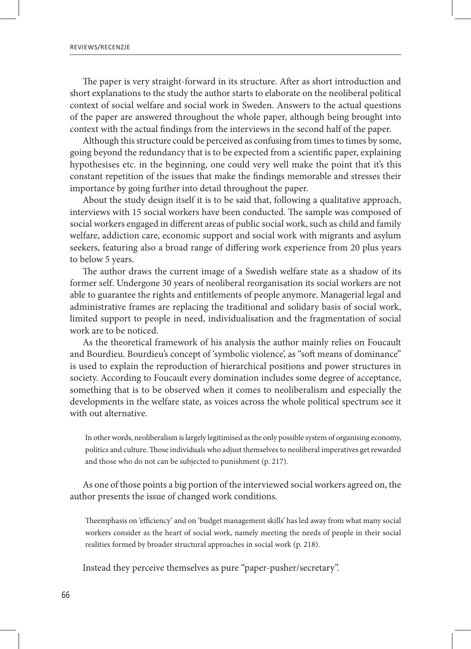The paper is very straight-forward in its structure. After as short introduction and short explanations to the study the author starts to elaborate on the neoliberal political context of social welfare and social work in Sweden. Answers to the actual questions of the paper are answered throughout the whole paper, although being brought into context with the actual findings from the interviews in the second half of the paper.

Although this structure could be perceived as confusing from times to times by some, going beyond the redundancy that is to be expected from a scientific paper, explaining hypothesises etc. in the beginning, one could very well make the point that it's this constant repetition of the issues that make the findings memorable and stresses their importance by going further into detail throughout the paper.

About the study design itself it is to be said that, following a qualitative approach, interviews with 15 social workers have been conducted. The sample was composed of social workers engaged in different areas of public social work, such as child and family welfare, addiction care, economic support and social work with migrants and asylum seekers, featuring also a broad range of differing work experience from 20 plus years to below 5 years.

The author draws the current image of a Swedish welfare state as a shadow of its former self. Undergone 30 years of neoliberal reorganisation its social workers are not able to guarantee the rights and entitlements of people anymore. Managerial legal and administrative frames are replacing the traditional and solidary basis of social work, limited support to people in need, individualisation and the fragmentation of social work are to be noticed.

As the theoretical framework of his analysis the author mainly relies on Foucault and Bourdieu. Bourdieu's concept of 'symbolic violence', as "soft means of dominance" is used to explain the reproduction of hierarchical positions and power structures in society. According to Foucault every domination includes some degree of acceptance, something that is to be observed when it comes to neoliberalism and especially the developments in the welfare state, as voices across the whole political spectrum see it with out alternative.

In other words, neoliberalism is largely legitimised as the only possible system of organising economy, politics and culture. Those individuals who adjust themselves to neoliberal imperatives get rewarded and those who do not can be subjected to punishment (p. 217).

As one of those points a big portion of the interviewed social workers agreed on, the author presents the issue of changed work conditions.

Theemphasis on 'efficiency' and on 'budget management skills' has led away from what many social workers consider as the heart of social work, namely meeting the needs of people in their social realities formed by broader structural approaches in social work (p. 218).

Instead they perceive themselves as pure "paper-pusher/secretary".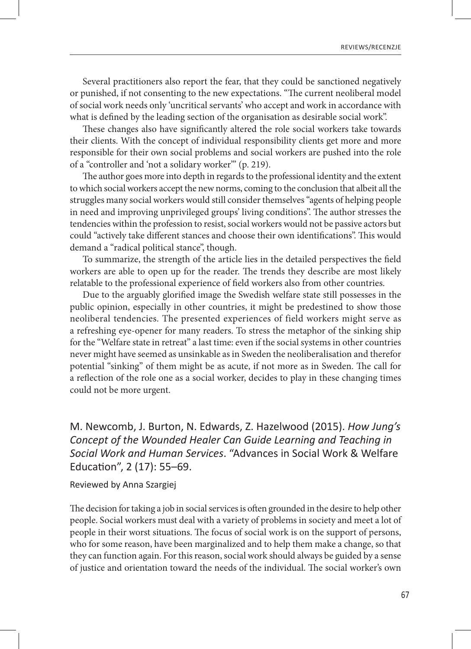Several practitioners also report the fear, that they could be sanctioned negatively or punished, if not consenting to the new expectations. "The current neoliberal model of social work needs only 'uncritical servants' who accept and work in accordance with what is defined by the leading section of the organisation as desirable social work".

These changes also have significantly altered the role social workers take towards their clients. With the concept of individual responsibility clients get more and more responsible for their own social problems and social workers are pushed into the role of a "controller and 'not a solidary worker'" (p. 219).

The author goes more into depth in regards to the professional identity and the extent to which social workers accept the new norms, coming to the conclusion that albeit all the struggles many social workers would still consider themselves "agents of helping people in need and improving unprivileged groups' living conditions". The author stresses the tendencies within the profession to resist, social workers would not be passive actors but could "actively take different stances and choose their own identifications". This would demand a "radical political stance", though.

To summarize, the strength of the article lies in the detailed perspectives the field workers are able to open up for the reader. The trends they describe are most likely relatable to the professional experience of field workers also from other countries.

Due to the arguably glorified image the Swedish welfare state still possesses in the public opinion, especially in other countries, it might be predestined to show those neoliberal tendencies. The presented experiences of field workers might serve as a refreshing eye-opener for many readers. To stress the metaphor of the sinking ship for the "Welfare state in retreat" a last time: even if the social systems in other countries never might have seemed as unsinkable as in Sweden the neoliberalisation and therefor potential "sinking" of them might be as acute, if not more as in Sweden. The call for a reflection of the role one as a social worker, decides to play in these changing times could not be more urgent.

M. Newcomb, J. Burton, N. Edwards, Z. Hazelwood (2015). *How Jung's Concept of the Wounded Healer Can Guide Learning and Teaching in Social Work and Human Services*. "Advances in Social Work & Welfare Education", 2 (17): 55–69.

Reviewed by Anna Szargiej

The decision for taking a job in social services is often grounded in the desire to help other people. Social workers must deal with a variety of problems in society and meet a lot of people in their worst situations. The focus of social work is on the support of persons, who for some reason, have been marginalized and to help them make a change, so that they can function again. For this reason, social work should always be guided by a sense of justice and orientation toward the needs of the individual. The social worker's own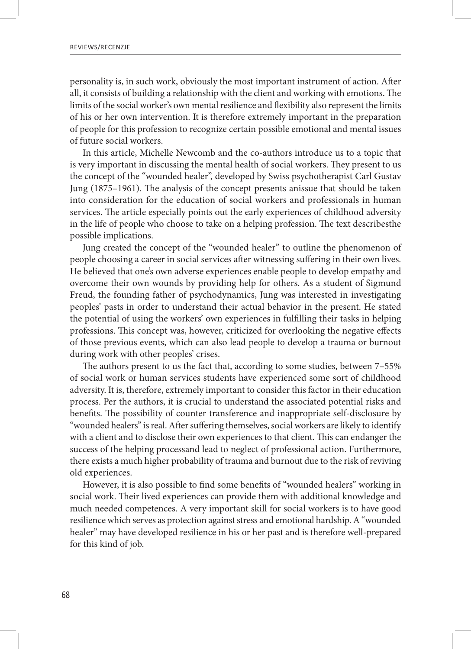personality is, in such work, obviously the most important instrument of action. After all, it consists of building a relationship with the client and working with emotions. The limits of the social worker's own mental resilience and flexibility also represent the limits of his or her own intervention. It is therefore extremely important in the preparation of people for this profession to recognize certain possible emotional and mental issues of future social workers.

In this article, Michelle Newcomb and the co-authors introduce us to a topic that is very important in discussing the mental health of social workers. They present to us the concept of the "wounded healer", developed by Swiss psychotherapist Carl Gustav Jung (1875–1961). The analysis of the concept presents anissue that should be taken into consideration for the education of social workers and professionals in human services. The article especially points out the early experiences of childhood adversity in the life of people who choose to take on a helping profession. The text describesthe possible implications.

Jung created the concept of the "wounded healer" to outline the phenomenon of people choosing a career in social services after witnessing suffering in their own lives. He believed that one's own adverse experiences enable people to develop empathy and overcome their own wounds by providing help for others. As a student of Sigmund Freud, the founding father of psychodynamics, Jung was interested in investigating peoples' pasts in order to understand their actual behavior in the present. He stated the potential of using the workers' own experiences in fulfilling their tasks in helping professions. This concept was, however, criticized for overlooking the negative effects of those previous events, which can also lead people to develop a trauma or burnout during work with other peoples' crises.

The authors present to us the fact that, according to some studies, between 7–55% of social work or human services students have experienced some sort of childhood adversity. It is, therefore, extremely important to consider this factor in their education process. Per the authors, it is crucial to understand the associated potential risks and benefits. The possibility of counter transference and inappropriate self-disclosure by "wounded healers" is real. After suffering themselves, social workers are likely to identify with a client and to disclose their own experiences to that client. This can endanger the success of the helping processand lead to neglect of professional action. Furthermore, there exists a much higher probability of trauma and burnout due to the risk of reviving old experiences.

However, it is also possible to find some benefits of "wounded healers" working in social work. Their lived experiences can provide them with additional knowledge and much needed competences. A very important skill for social workers is to have good resilience which serves as protection against stress and emotional hardship. A "wounded healer" may have developed resilience in his or her past and is therefore well-prepared for this kind of job.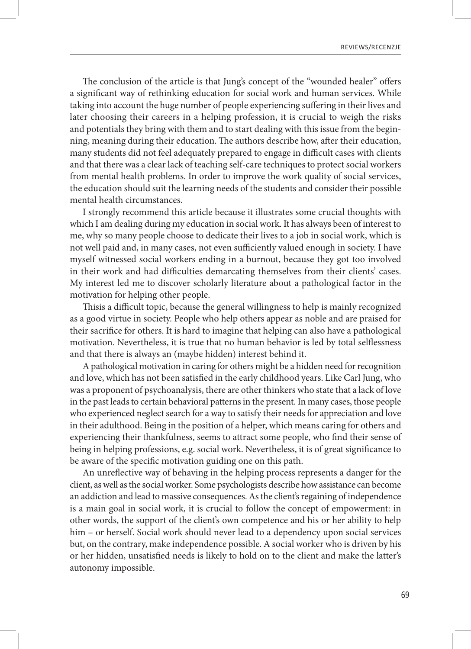The conclusion of the article is that Jung's concept of the "wounded healer" offers a significant way of rethinking education for social work and human services. While taking into account the huge number of people experiencing suffering in their lives and later choosing their careers in a helping profession, it is crucial to weigh the risks and potentials they bring with them and to start dealing with this issue from the beginning, meaning during their education. The authors describe how, after their education, many students did not feel adequately prepared to engage in difficult cases with clients and that there was a clear lack of teaching self-care techniques to protect social workers from mental health problems. In order to improve the work quality of social services, the education should suit the learning needs of the students and consider their possible mental health circumstances.

I strongly recommend this article because it illustrates some crucial thoughts with which I am dealing during my education in social work. It has always been of interest to me, why so many people choose to dedicate their lives to a job in social work, which is not well paid and, in many cases, not even sufficiently valued enough in society. I have myself witnessed social workers ending in a burnout, because they got too involved in their work and had difficulties demarcating themselves from their clients' cases. My interest led me to discover scholarly literature about a pathological factor in the motivation for helping other people.

Thisis a difficult topic, because the general willingness to help is mainly recognized as a good virtue in society. People who help others appear as noble and are praised for their sacrifice for others. It is hard to imagine that helping can also have a pathological motivation. Nevertheless, it is true that no human behavior is led by total selflessness and that there is always an (maybe hidden) interest behind it.

A pathological motivation in caring for others might be a hidden need for recognition and love, which has not been satisfied in the early childhood years. Like Carl Jung, who was a proponent of psychoanalysis, there are other thinkers who state that a lack of love in the past leads to certain behavioral patterns in the present. In many cases, those people who experienced neglect search for a way to satisfy their needs for appreciation and love in their adulthood. Being in the position of a helper, which means caring for others and experiencing their thankfulness, seems to attract some people, who find their sense of being in helping professions, e.g. social work. Nevertheless, it is of great significance to be aware of the specific motivation guiding one on this path.

An unreflective way of behaving in the helping process represents a danger for the client, as well as the social worker. Some psychologists describe how assistance can become an addiction and lead to massive consequences. As the client's regaining of independence is a main goal in social work, it is crucial to follow the concept of empowerment: in other words, the support of the client's own competence and his or her ability to help him – or herself. Social work should never lead to a dependency upon social services but, on the contrary, make independence possible. A social worker who is driven by his or her hidden, unsatisfied needs is likely to hold on to the client and make the latter's autonomy impossible.